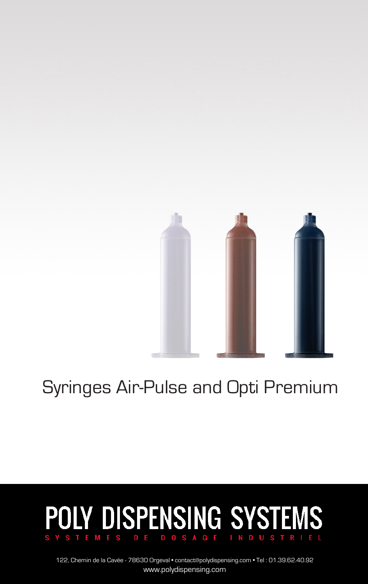

# Syringes Air-Pulse and Opti Premium

### **POLY DISPENSING SYSTEMS** DE DOSAGE INDU

122, Chemin de la Cavée - 78630 Orgeval • contact@polydispensing.com • Tel : 01.39.62.40.92 www.polydispensing.com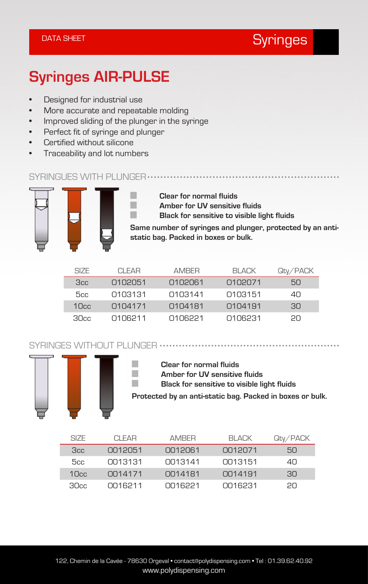### DATA SHEET Syringes and the sympath of the Syringes

## **Syringes AIR-PULSE**

- Designed for industrial use
- More accurate and repeatable molding
- Improved sliding of the plunger in the syringe
- Perfect fit of syringe and plunger
- Certified without silicone
- Traceability and lot numbers

#### SYRINGUES WITH PLUNGER ..........................



**Clear for normal fluids Amber for UV sensitive fluids Black for sensitive to visible light fluids**

**Same number of syringes and plunger, protected by an antistatic bag. Packed in boxes or bulk.**

| SIZE. | CI FAR  | <b>AMRFR</b> | BI ACK  | Qty/PACK |
|-------|---------|--------------|---------|----------|
| 3cc   | 0102051 | 0102061      | 0102071 | 5Ω       |
| 5cc   | 0103131 | 0103141      | 0103151 | 40.      |
| 10cc  | 0104171 | 0104181      | 0104191 | 30.      |
| 30cc  | 0106211 | 0106221      | 0106231 | 20.      |

SYRINGES WITHOUT PLUNGER



**Clear for normal fluids Amber for UV sensitive fluids Black for sensitive to visible light fluids Protected by an anti-static bag. Packed in boxes or bulk.**

| SIZE.            | CI FAR  | <b>AMRFR</b> | BI ACK  | Qty/PACK |
|------------------|---------|--------------|---------|----------|
| 3cc              | OO12051 | 0012061      | 0012071 | 50       |
| 5cc              | CO13131 | 0013141      | CO13151 | 4Π       |
| 10 <sub>cc</sub> | 0014171 | 0014181      | 0014191 | 30.      |
| 30cc             | 0016211 | 0016221      | 0016231 | PП       |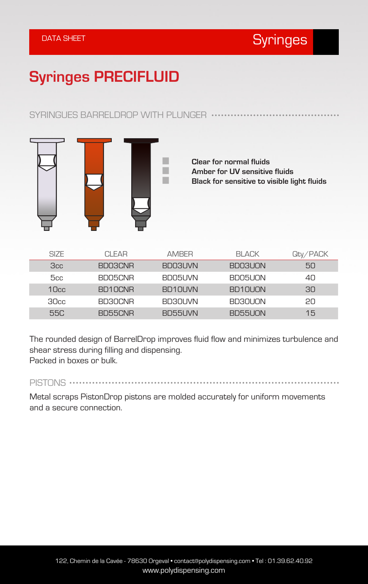## **Syringes PRECIFLUID**

#### SYRINGUES BARRELDROP WITH PLUNGER ...



**Clear for normal fluids Amber for UV sensitive fluids Black for sensitive to visible light fluids**

| SIZE. | CI FAR         | <b>AMRFR</b> | BI ACK  | Qty/PACK |
|-------|----------------|--------------|---------|----------|
| 3cc   | BD03CNR        | BD03UVN      | BD03UON | 50       |
| 5cc   | <b>BDO5CNR</b> | BDO5LIVN     | BDO5UON | 40       |
| 10cc  | BD10CNR        | BD10UVN      | BD10U0N | 30.      |
| 30cc  | <b>BD30CNR</b> | BD30LIVN     | BD30U0N | 2N       |
| 55C   | BD55CNR        | BD55UVN      | BD55UON | 15       |

The rounded design of BarrelDrop improves fluid flow and minimizes turbulence and shear stress during filling and dispensing. Packed in boxes or bulk.

PISTONS .......................

Metal scraps PistonDrop pistons are molded accurately for uniform movements and a secure connection.